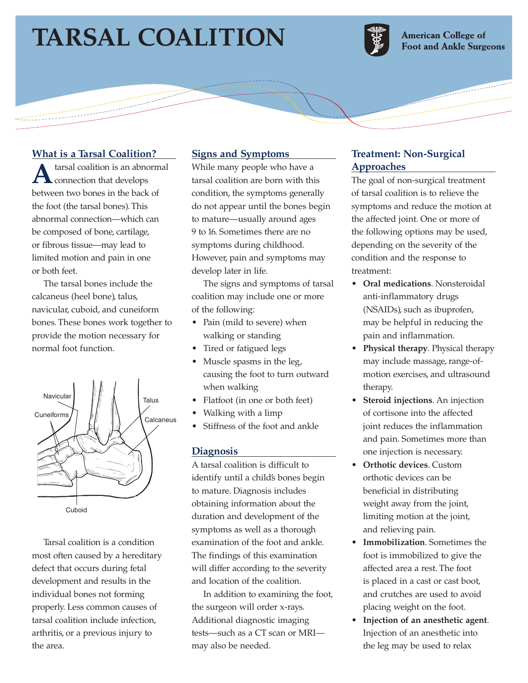# **TARSAL COALITION**

سيستعقب



**American College of Foot and Ankle Surgeons** 

## **What is a Tarsal Coalition?**

tarsal coalition is an abnormal connection that develops between two bones in the back of the foot (the tarsal bones). This abnormal connection—which can be composed of bone, cartilage, or fibrous tissue—may lead to limited motion and pain in one or both feet.

The tarsal bones include the calcaneus (heel bone), talus, navicular, cuboid, and cuneiform bones. These bones work together to provide the motion necessary for normal foot function.



Cuboid

Tarsal coalition is a condition most often caused by a hereditary defect that occurs during fetal development and results in the individual bones not forming properly. Less common causes of tarsal coalition include infection, arthritis, or a previous injury to the area.

### **Signs and Symptoms**

While many people who have a tarsal coalition are born with this condition, the symptoms generally do not appear until the bones begin to mature—usually around ages 9 to 16. Sometimes there are no symptoms during childhood. However, pain and symptoms may develop later in life.

The signs and symptoms of tarsal coalition may include one or more of the following:

- Pain (mild to severe) when walking or standing
- Tired or fatigued legs
- Muscle spasms in the leg, causing the foot to turn outward when walking
- Flatfoot (in one or both feet)
- Walking with a limp
- Stiffness of the foot and ankle

#### **Diagnosis**

A tarsal coalition is difficult to identify until a child's bones begin to mature. Diagnosis includes obtaining information about the duration and development of the symptoms as well as a thorough examination of the foot and ankle. The findings of this examination will differ according to the severity and location of the coalition.

In addition to examining the foot, the surgeon will order x-rays. Additional diagnostic imaging tests—such as a CT scan or MRI may also be needed.

# **Treatment: Non-Surgical Approaches**

The goal of non-surgical treatment of tarsal coalition is to relieve the symptoms and reduce the motion at the affected joint. One or more of the following options may be used, depending on the severity of the condition and the response to treatment:

- **Oral medications**. Nonsteroidal anti-inflammatory drugs (NSAIDs), such as ibuprofen, may be helpful in reducing the pain and inflammation.
- **Physical therapy**. Physical therapy may include massage, range-ofmotion exercises, and ultrasound therapy.
- **Steroid injections**. An injection of cortisone into the affected joint reduces the inflammation and pain. Sometimes more than one injection is necessary.
- **Orthotic devices**. Custom orthotic devices can be beneficial in distributing weight away from the joint, limiting motion at the joint, and relieving pain.
- **Immobilization**. Sometimes the foot is immobilized to give the affected area a rest. The foot is placed in a cast or cast boot, and crutches are used to avoid placing weight on the foot.
- **Injection of an anesthetic agent**. Injection of an anesthetic into the leg may be used to relax